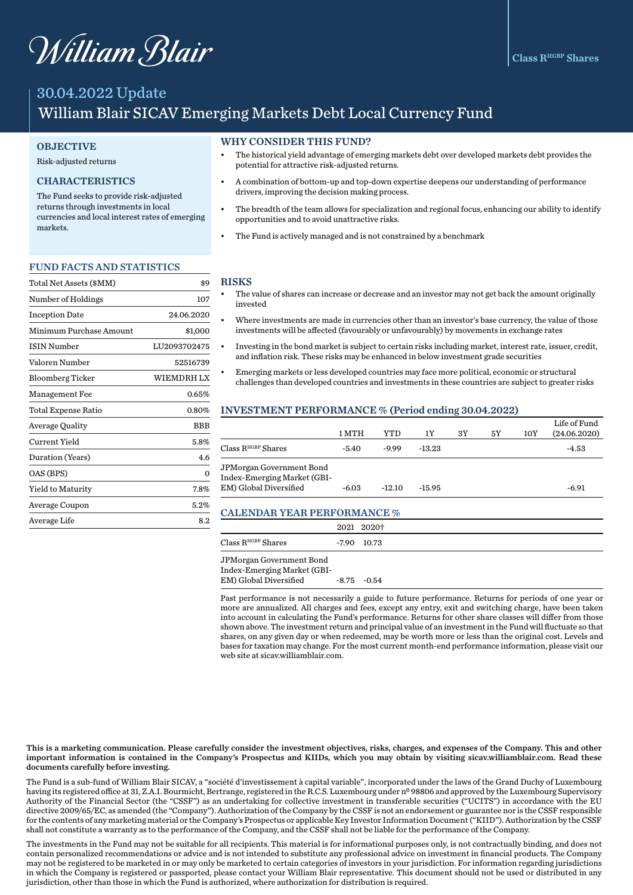# William Blair

# 30.04.2022 Update William Blair SICAV Emerging Markets Debt Local Currency Fund

#### **OBJECTIVE**

#### Risk-adjusted returns

## CHARACTERISTICS

The Fund seeks to provide risk-adjusted returns through investments in local currencies and local interest rates of emerging markets.

#### FUND FACTS AND STATISTICS

| Total Net Assets (\$MM) | \$9          |
|-------------------------|--------------|
| Number of Holdings      | 107          |
| <b>Inception Date</b>   | 24.06.2020   |
| Minimum Purchase Amount | \$1,000      |
| <b>ISIN Number</b>      | LU2093702475 |
| Valoren Number          | 52516739     |
| <b>Bloomberg Ticker</b> | WIEMDRH LX   |
| Management Fee          | $0.65\%$     |
| Total Expense Ratio     | 0.80%        |
| <b>Average Quality</b>  | BBB          |
| Current Yield           | 5.8%         |
| Duration (Years)        | 4.6          |
| OAS (BPS)               | 0            |
| Yield to Maturity       | 7.8%         |
| Average Coupon          | $5.2\%$      |
| Average Life            | 8.2          |

#### WHY CONSIDER THIS FUND?

- The historical yield advantage of emerging markets debt over developed markets debt provides the potential for attractive risk-adjusted returns.
- A combination of bottom-up and top-down expertise deepens our understanding of performance drivers, improving the decision making process.
- The breadth of the team allows for specialization and regional focus, enhancing our ability to identify opportunities and to avoid unattractive risks.
- The Fund is actively managed and is not constrained by a benchmark

#### RISKS

- The value of shares can increase or decrease and an investor may not get back the amount originally invested
- Where investments are made in currencies other than an investor's base currency, the value of those investments will be affected (favourably or unfavourably) by movements in exchange rates
- Investing in the bond market is subject to certain risks including market, interest rate, issuer, credit, and inflation risk. These risks may be enhanced in below investment grade securities
- Emerging markets or less developed countries may face more political, economic or structural challenges than developed countries and investments in these countries are subject to greater risks

#### INVESTMENT PERFORMANCE % (Period ending 30.04.2022)

|                                                                                   | 1 MTH   | YTD      | 1Υ       | 3Y | 5Υ | 10Y | Life of Fund<br>(24.06.2020) |
|-----------------------------------------------------------------------------------|---------|----------|----------|----|----|-----|------------------------------|
| Class R <sup>HGBP</sup> Shares                                                    | $-5.40$ | $-9.99$  | $-13.23$ |    |    |     | -4.53                        |
| JPMorgan Government Bond<br>Index-Emerging Market (GBI-<br>EM) Global Diversified | $-6.03$ | $-12.10$ | $-15.95$ |    |    |     | $-6.91$                      |

#### CALENDAR YEAR PERFORMANCE %

|                               | 2021 2020†     |  |
|-------------------------------|----------------|--|
| $\rm Class\,R^{HGBP}\,Shares$ | $-7.90$ 10.73  |  |
| JPMorgan Government Bond      |                |  |
| Index-Emerging Market (GBI-   |                |  |
| EM) Global Diversified        | $-8.75 - 0.54$ |  |

Past performance is not necessarily a guide to future performance. Returns for periods of one year or more are annualized. All charges and fees, except any entry, exit and switching charge, have been taken into account in calculating the Fund's performance. Returns for other share classes will differ from those shown above. The investment return and principal value of an investment in the Fund will fluctuate so that shares, on any given day or when redeemed, may be worth more or less than the original cost. Levels and bases for taxation may change. For the most current month-end performance information, please visit our web site at sicav.williamblair.com.

This is a marketing communication. Please carefully consider the investment objectives, risks, charges, and expenses of the Company. This and other important information is contained in the Company's Prospectus and KIIDs, which you may obtain by visiting sicav.williamblair.com. Read these documents carefully before investing.

The Fund is a sub-fund of William Blair SICAV, a "société d'investissement à capital variable", incorporated under the laws of the Grand Duchy of Luxembourg having its registered office at 31, Z.A.I. Bourmicht, Bertrange, registered in the R.C.S. Luxembourg under nº 98806 and approved by the Luxembourg Supervisory Authority of the Financial Sector (the "CSSF") as an undertaking for collective investment in transferable securities ("UCITS") in accordance with the EU directive 2009/65/EC, as amended (the "Company"). Authorization of the Company by the CSSF is not an endorsement or guarantee nor is the CSSF responsible for the contents of any marketing material or the Company's Prospectus or applicable Key Investor Information Document ("KIID"). Authorization by the CSSF shall not constitute a warranty as to the performance of the Company, and the CSSF shall not be liable for the performance of the Company.

The investments in the Fund may not be suitable for all recipients. This material is for informational purposes only, is not contractually binding, and does not contain personalized recommendations or advice and is not intended to substitute any professional advice on investment in financial products. The Company may not be registered to be marketed in or may only be marketed to certain categories of investors in your jurisdiction. For information regarding jurisdictions in which the Company is registered or passported, please contact your William Blair representative. This document should not be used or distributed in any jurisdiction, other than those in which the Fund is authorized, where authorization for distribution is required.